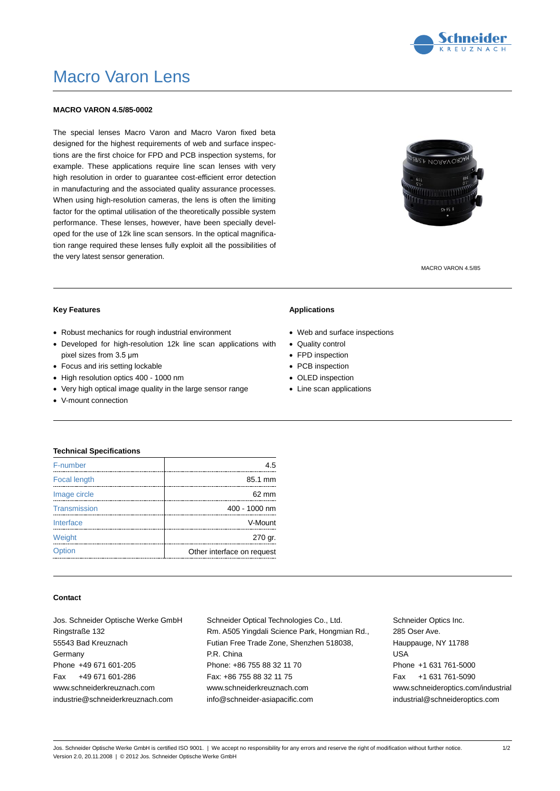

# Macro Varon Lens

## **MACRO VARON 4.5/85-0002**

The special lenses Macro Varon and Macro Varon fixed beta designed for the highest requirements of web and surface inspections are the first choice for FPD and PCB inspection systems, for example. These applications require line scan lenses with very high resolution in order to guarantee cost-efficient error detection in manufacturing and the associated quality assurance processes. When using high-resolution cameras, the lens is often the limiting factor for the optimal utilisation of the theoretically possible system performance. These lenses, however, have been specially developed for the use of 12k line scan sensors. In the optical magnification range required these lenses fully exploit all the possibilities of the very latest sensor generation.



MACRO VARON 4.5/85

#### **Key Features**

- Robust mechanics for rough industrial environment
- Developed for high-resolution 12k line scan applications with pixel sizes from 3.5 μm
- Focus and iris setting lockable
- High resolution optics 400 1000 nm
- Very high optical image quality in the large sensor range
- V-mount connection

#### **Applications**

- Web and surface inspections
- Quality control
- FPD inspection
- PCB inspection
- OLED inspection
- Line scan applications

#### **Technical Specifications**

| F-number            | 4.5                        |
|---------------------|----------------------------|
| <b>Focal length</b> | 85.1 mm                    |
| Image circle        | 62 mm                      |
| Transmission        | 400 - 1000 nm              |
| Interface           | V-Mount                    |
| Weight              | 270 gr.                    |
| Option              | Other interface on request |

## **Contact**

Jos. Schneider Optische Werke GmbH Ringstraße 132 55543 Bad Kreuznach Germany Phone +49 671 601-205 Fax +49 671 601-286 www.schneiderkreuznach.com industrie@schneiderkreuznach.com

Schneider Optical Technologies Co., Ltd. Rm. A505 Yingdali Science Park, Hongmian Rd., Futian Free Trade Zone, Shenzhen 518038, P.R. China Phone: +86 755 88 32 11 70 Fax: +86 755 88 32 11 75 www.schneiderkreuznach.com info@schneider-asiapacific.com

Schneider Optics Inc. 285 Oser Ave. Hauppauge, NY 11788 USA Phone +1 631 761-5000 Fax +1 631 761-5090 www.schneideroptics.com/industrial industrial@schneideroptics.com